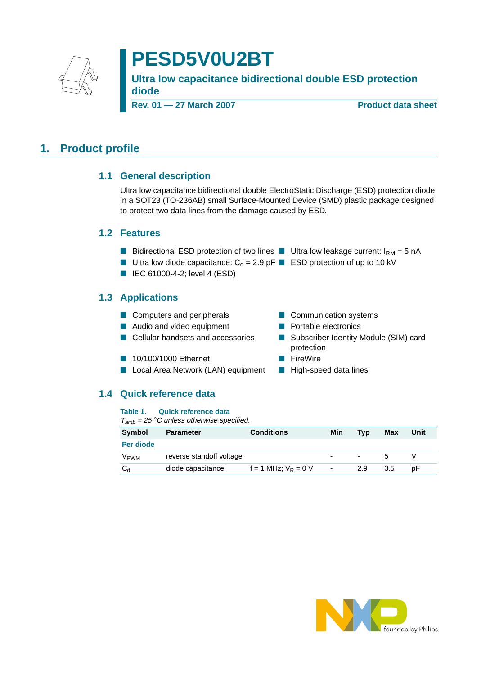

# **PESD5V0U2BT**

**Ultra low capacitance bidirectional double ESD protection diode**

**Rev. 01 — 27 March 2007** Product data sheet

### <span id="page-0-1"></span><span id="page-0-0"></span>**1. Product profile**

### **1.1 General description**

Ultra low capacitance bidirectional double ElectroStatic Discharge (ESD) protection diode in a SOT23 (TO-236AB) small Surface-Mounted Device (SMD) plastic package designed to protect two data lines from the damage caused by ESD.

#### <span id="page-0-2"></span>**1.2 Features**

- Bidirectional ESD protection of two lines Ultra low leakage current:  $I_{\text{RM}} = 5$  nA
- Ultra low diode capacitance:  $C_d = 2.9$  pF ESD protection of up to 10 kV

protection

■ IEC 61000-4-2; level 4 (ESD)

### <span id="page-0-3"></span>**1.3 Applications**

- Computers and peripherals Communication systems
- Audio and video equipment Portable electronics
- Cellular handsets and accessories Subscriber Identity Module (SIM) card
- 10/100/1000 Ethernet FireWire
- Local Area Network (LAN) equipment High-speed data lines

#### <span id="page-0-4"></span>**1.4 Quick reference data**

**Table 1. Quick reference data**

| ,,,,,,,<br><b>Symbol</b> | <b>Parameter</b>         | <b>Conditions</b>        | Min            | Tvp                      | Max | Unit |
|--------------------------|--------------------------|--------------------------|----------------|--------------------------|-----|------|
| Per diode                |                          |                          |                |                          |     |      |
| $V_{RWM}$                | reverse standoff voltage |                          |                | $\overline{\phantom{0}}$ |     |      |
| $C_{d}$                  | diode capacitance        | $f = 1$ MHz; $V_R = 0$ V | $\blacksquare$ | 2.9                      | 3.5 | рF   |

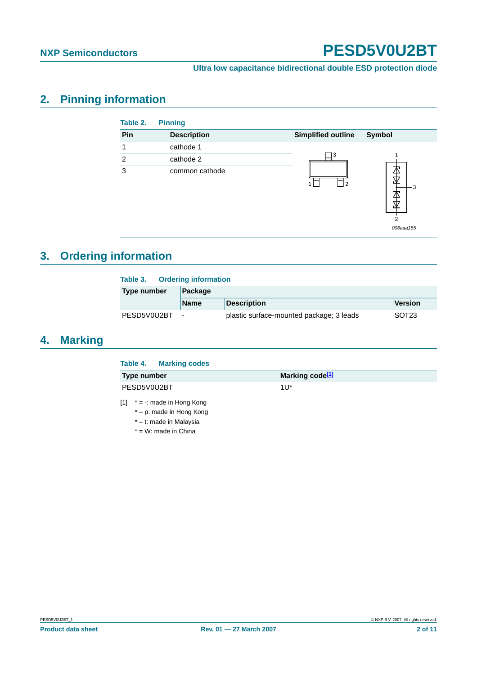006aaa155

### **Ultra low capacitance bidirectional double ESD protection diode**

### <span id="page-1-1"></span>**2. Pinning information**

| Table 2.      | <b>Pinning</b>     |                           |               |
|---------------|--------------------|---------------------------|---------------|
| Pin           | <b>Description</b> | <b>Simplified outline</b> | Symbol        |
|               | cathode 1          |                           |               |
| $\mathcal{P}$ | cathode 2          | 3                         |               |
| 3             | common cathode     | 2                         | ₩<br>- 3<br>4 |

## <span id="page-1-2"></span>**3. Ordering information**

| <b>Ordering information</b><br>Table 3. |                          |                                          |                   |  |
|-----------------------------------------|--------------------------|------------------------------------------|-------------------|--|
| <b>Type number</b>                      | Package                  |                                          |                   |  |
|                                         | <b>Name</b>              | <b>Description</b>                       | Version           |  |
| PESD5V0U2BT                             | $\overline{\phantom{a}}$ | plastic surface-mounted package; 3 leads | SOT <sub>23</sub> |  |

## <span id="page-1-3"></span>**4. Marking**

|             | Table 4. Marking codes |                             |
|-------------|------------------------|-----------------------------|
| Type number |                        | Marking code <sup>[1]</sup> |
| PESD5V0U2BT |                        | $111*$                      |
|             |                        |                             |

<span id="page-1-0"></span> $[1]$  \* = -: made in Hong Kong

- $* = p$ : made in Hong Kong
- \* = t: made in Malaysia
- $*$  = W: made in China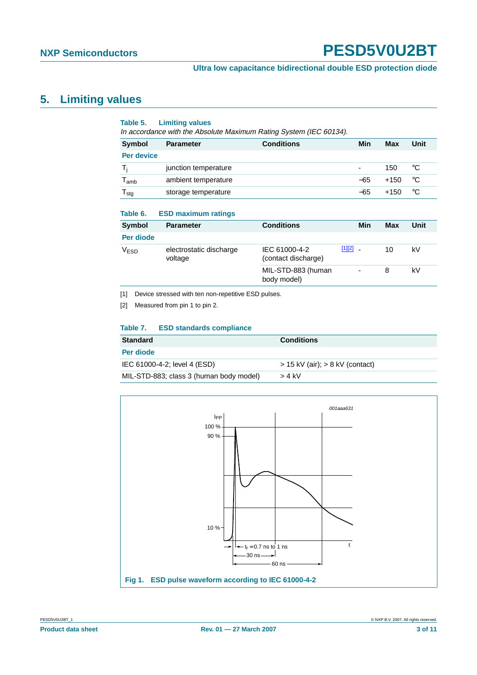## <span id="page-2-2"></span>**5. Limiting values**

#### **Table 5. Limiting values**

In accordance with the Absolute Maximum Rating System (IEC 60134).

| Symbol                      | <b>Parameter</b>     | <b>Conditions</b> | Min   | Max    | Unit |
|-----------------------------|----------------------|-------------------|-------|--------|------|
| Per device                  |                      |                   |       |        |      |
| Τi                          | junction temperature |                   |       | 150    | °C   |
| $\mathsf{T}_{\mathsf{amb}}$ | ambient temperature  |                   | $-65$ | $+150$ | °C   |
| l <sub>stg</sub>            | storage temperature  |                   | -65   | $+150$ | °C   |

#### **Table 6. ESD maximum ratings**

| Symbol           | <b>Parameter</b>                   | <b>Conditions</b>                    |            | Min | Max | Unit |
|------------------|------------------------------------|--------------------------------------|------------|-----|-----|------|
| Per diode        |                                    |                                      |            |     |     |      |
| V <sub>ESD</sub> | electrostatic discharge<br>voltage | IEC 61000-4-2<br>(contact discharge) | $[1][2]$ . |     | 10  | kV   |
|                  |                                    | MIL-STD-883 (human<br>body model)    |            | -   | 8   | kV   |

<span id="page-2-0"></span>[1] Device stressed with ten non-repetitive ESD pulses.

<span id="page-2-1"></span>[2] Measured from pin 1 to pin 2.

#### **Table 7. ESD standards compliance**

| <b>Standard</b>                         | <b>Conditions</b>                   |
|-----------------------------------------|-------------------------------------|
| Per diode                               |                                     |
| IEC 61000-4-2; level 4 (ESD)            | $>$ 15 kV (air); $>$ 8 kV (contact) |
| MIL-STD-883; class 3 (human body model) | > 4 kV                              |

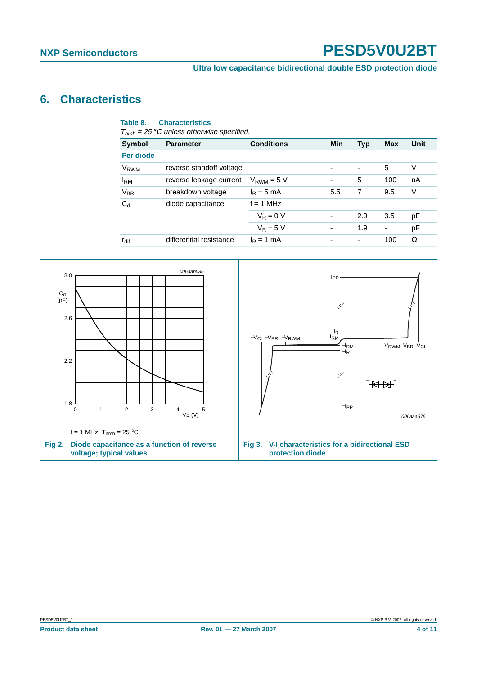### <span id="page-3-0"></span>**6. Characteristics**

| Table 8.         | <b>Characteristics</b><br>$T_{amb}$ = 25 °C unless otherwise specified. |                   |            |                          |                |             |
|------------------|-------------------------------------------------------------------------|-------------------|------------|--------------------------|----------------|-------------|
| Symbol           | <b>Parameter</b>                                                        | <b>Conditions</b> | <b>Min</b> | <b>Typ</b>               | Max            | <b>Unit</b> |
| Per diode        |                                                                         |                   |            |                          |                |             |
| V <sub>RWM</sub> | reverse standoff voltage                                                |                   |            | $\overline{\phantom{a}}$ | 5              | V           |
| <b>IRM</b>       | reverse leakage current                                                 | $V_{RWM} = 5 V$   | ۰          | 5                        | 100            | nA          |
| $V_{BR}$         | breakdown voltage                                                       | $I_R = 5$ mA      | 5.5        | 7                        | 9.5            | V           |
| $C_{d}$          | diode capacitance                                                       | $f = 1$ MHz       |            |                          |                |             |
|                  | $V_R = 0 V$                                                             |                   | 2.9        | 3.5                      | рF             |             |
|                  |                                                                         | $V_R = 5 V$       |            | 1.9                      | $\overline{a}$ | pF          |
| $r_{\text{dif}}$ | differential resistance                                                 | $I_R = 1$ mA      |            | -                        | 100            | Ω           |

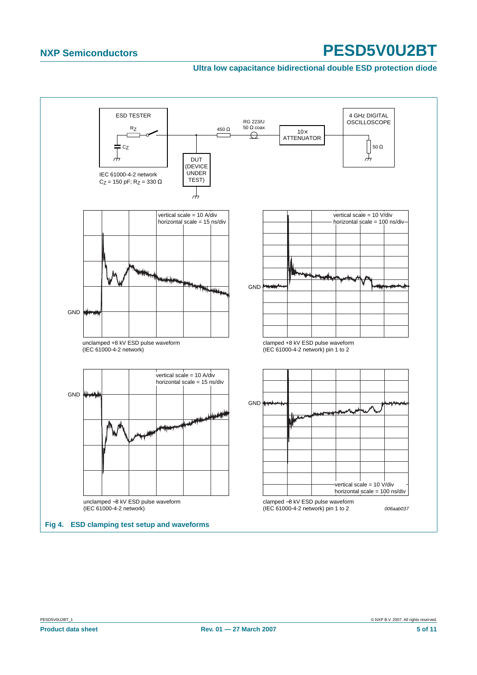#### **Ultra low capacitance bidirectional double ESD protection diode**

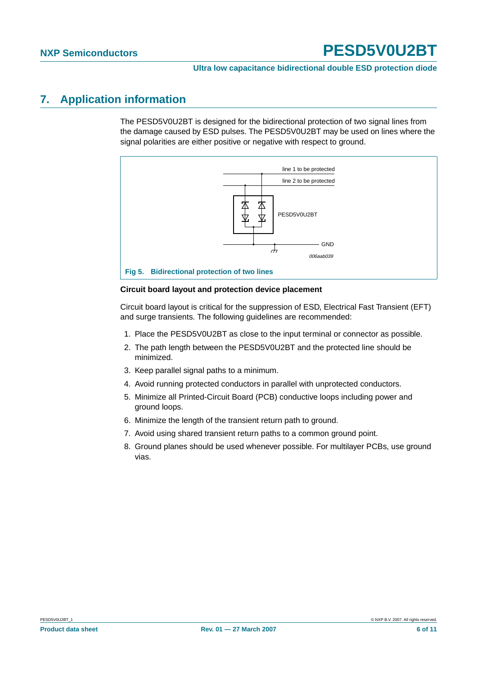### <span id="page-5-0"></span>**7. Application information**

The PESD5V0U2BT is designed for the bidirectional protection of two signal lines from the damage caused by ESD pulses. The PESD5V0U2BT may be used on lines where the signal polarities are either positive or negative with respect to ground.



#### **Circuit board layout and protection device placement**

Circuit board layout is critical for the suppression of ESD, Electrical Fast Transient (EFT) and surge transients. The following guidelines are recommended:

- 1. Place the PESD5V0U2BT as close to the input terminal or connector as possible.
- 2. The path length between the PESD5V0U2BT and the protected line should be minimized.
- 3. Keep parallel signal paths to a minimum.
- 4. Avoid running protected conductors in parallel with unprotected conductors.
- 5. Minimize all Printed-Circuit Board (PCB) conductive loops including power and ground loops.
- 6. Minimize the length of the transient return path to ground.
- 7. Avoid using shared transient return paths to a common ground point.
- 8. Ground planes should be used whenever possible. For multilayer PCBs, use ground vias.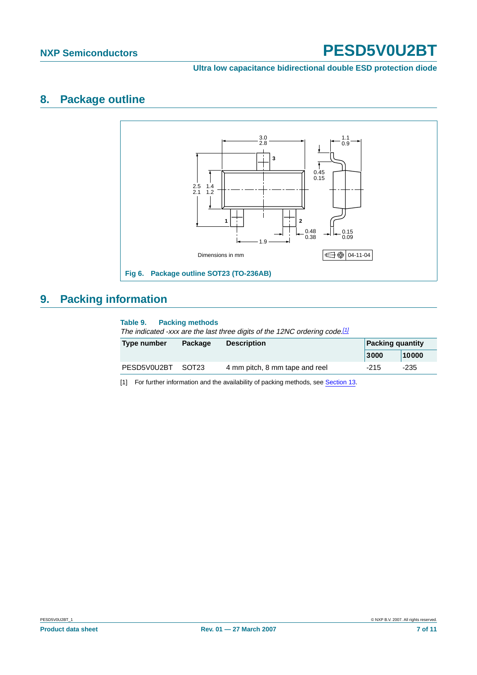**Ultra low capacitance bidirectional double ESD protection diode**

### <span id="page-6-1"></span>**8. Package outline**



## <span id="page-6-2"></span>**9. Packing information**

#### **Table 9. Packing methods**

The indicated -xxx are the last three digits of the 12NC ordering code.<sup>[\[1\]](#page-6-0)</sup>

| Type number | Package           | <b>Description</b>             | <b>Packing quantity</b> |       |
|-------------|-------------------|--------------------------------|-------------------------|-------|
|             |                   |                                | 3000                    | 10000 |
| PESD5V0U2BT | SOT <sub>23</sub> | 4 mm pitch, 8 mm tape and reel | $-215$                  | -235  |

<span id="page-6-0"></span>[1] For further information and the availability of packing methods, see [Section](#page-9-0) 13.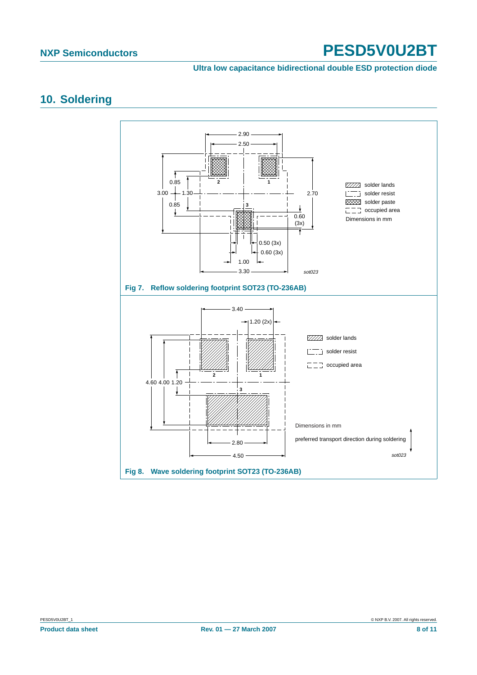#### **Ultra low capacitance bidirectional double ESD protection diode**

### <span id="page-7-0"></span>**10. Soldering**

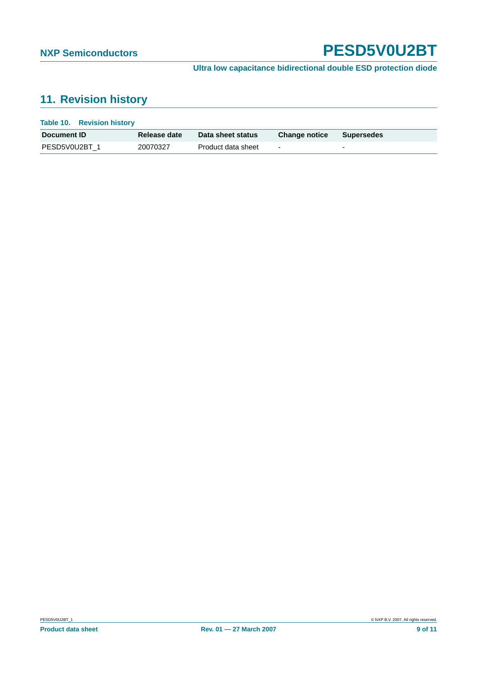## <span id="page-8-0"></span>**11. Revision history**

| Table 10. Revision history |                     |                    |                      |            |
|----------------------------|---------------------|--------------------|----------------------|------------|
| Document <b>ID</b>         | <b>Release date</b> | Data sheet status  | <b>Change notice</b> | Supersedes |
| PESD5V0U2BT 1              | 20070327            | Product data sheet | $\blacksquare$       |            |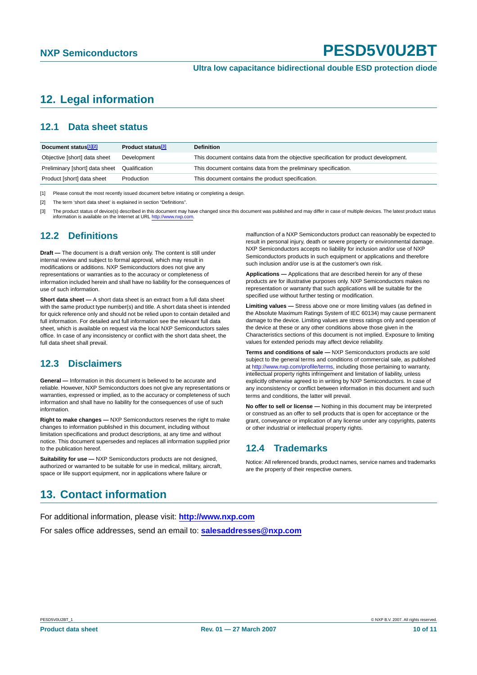### <span id="page-9-1"></span>**12. Legal information**

#### <span id="page-9-2"></span>**12.1 Data sheet status**

| Document status <sup>[1][2]</sup> | Product status <sup>[3]</sup> | <b>Definition</b>                                                                     |
|-----------------------------------|-------------------------------|---------------------------------------------------------------------------------------|
| Objective [short] data sheet      | Development                   | This document contains data from the objective specification for product development. |
| Preliminary [short] data sheet    | Qualification                 | This document contains data from the preliminary specification.                       |
| Product [short] data sheet        | Production                    | This document contains the product specification.                                     |

[1] Please consult the most recently issued document before initiating or completing a design.

[2] The term 'short data sheet' is explained in section "Definitions".

The product status of device(s) described in this document may have changed since this document was published and may differ in case of multiple devices. The latest product status information is available on the Internet at URL <http://www.nxp.com>.

#### <span id="page-9-3"></span>**12.2 Definitions**

**Draft —** The document is a draft version only. The content is still under internal review and subject to formal approval, which may result in modifications or additions. NXP Semiconductors does not give any representations or warranties as to the accuracy or completeness of information included herein and shall have no liability for the consequences of use of such information.

**Short data sheet —** A short data sheet is an extract from a full data sheet with the same product type number(s) and title. A short data sheet is intended for quick reference only and should not be relied upon to contain detailed and full information. For detailed and full information see the relevant full data sheet, which is available on request via the local NXP Semiconductors sales office. In case of any inconsistency or conflict with the short data sheet, the full data sheet shall prevail.

#### <span id="page-9-4"></span>**12.3 Disclaimers**

**General —** Information in this document is believed to be accurate and reliable. However, NXP Semiconductors does not give any representations or warranties, expressed or implied, as to the accuracy or completeness of such information and shall have no liability for the consequences of use of such information.

**Right to make changes —** NXP Semiconductors reserves the right to make changes to information published in this document, including without limitation specifications and product descriptions, at any time and without notice. This document supersedes and replaces all information supplied prior to the publication hereof.

**Suitability for use —** NXP Semiconductors products are not designed, authorized or warranted to be suitable for use in medical, military, aircraft, space or life support equipment, nor in applications where failure or

malfunction of a NXP Semiconductors product can reasonably be expected to result in personal injury, death or severe property or environmental damage. NXP Semiconductors accepts no liability for inclusion and/or use of NXP Semiconductors products in such equipment or applications and therefore such inclusion and/or use is at the customer's own risk.

**Applications —** Applications that are described herein for any of these products are for illustrative purposes only. NXP Semiconductors makes no representation or warranty that such applications will be suitable for the specified use without further testing or modification.

**Limiting values —** Stress above one or more limiting values (as defined in the Absolute Maximum Ratings System of IEC 60134) may cause permanent damage to the device. Limiting values are stress ratings only and operation of the device at these or any other conditions above those given in the Characteristics sections of this document is not implied. Exposure to limiting values for extended periods may affect device reliability.

**Terms and conditions of sale —** NXP Semiconductors products are sold subject to the general terms and conditions of commercial sale, as published at <http://www.nxp.com/profile/terms>, including those pertaining to warranty, intellectual property rights infringement and limitation of liability, unless explicitly otherwise agreed to in writing by NXP Semiconductors. In case of any inconsistency or conflict between information in this document and such terms and conditions, the latter will prevail.

**No offer to sell or license —** Nothing in this document may be interpreted or construed as an offer to sell products that is open for acceptance or the grant, conveyance or implication of any license under any copyrights, patents or other industrial or intellectual property rights.

#### <span id="page-9-5"></span>**12.4 Trademarks**

Notice: All referenced brands, product names, service names and trademarks are the property of their respective owners.

### <span id="page-9-0"></span>**13. Contact information**

For additional information, please visit: **http://www.nxp.com** For sales office addresses, send an email to: **salesaddresses@nxp.com**